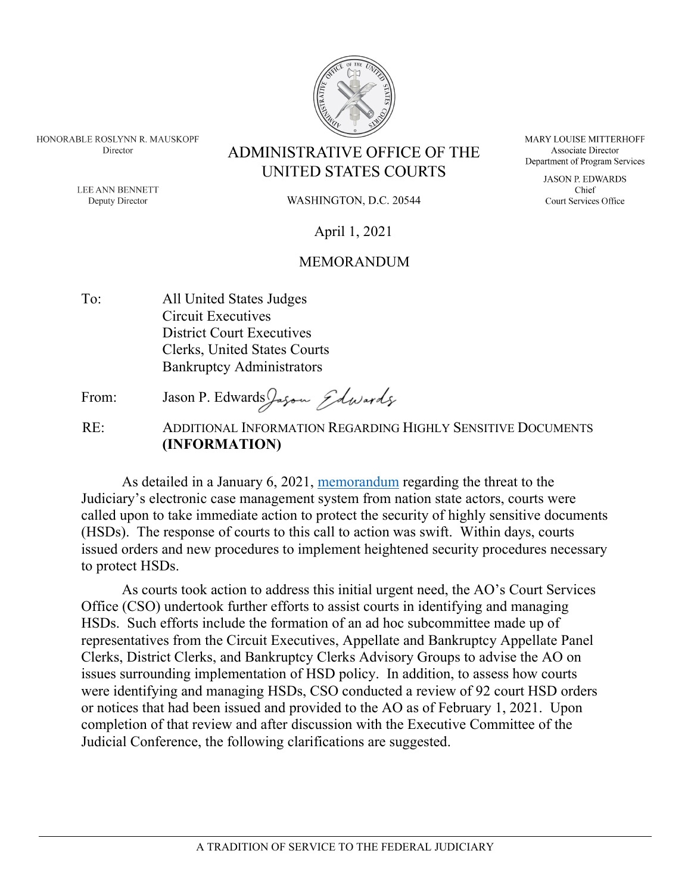

HONORABLE ROSLYNN R. MAUSKOPF Director

> **LEE ANN BENNETT** Deputy Director

**UNITED STATES COURTS** 

**ADMINISTRATIVE OFFICE OF THE** 

WASHINGTON, D.C. 20544

## April 1, 2021

## MEMORANDUM

To: All United States Judges Circuit Executives District Court Executives Clerks, United States Courts Bankruptcy Administrators

From: Jason P. Edwards Jason Edwards

RE: ADDITIONAL INFORMATION REGARDING HIGHLY SENSITIVE DOCUMENTS **(INFORMATION)**

As detailed in a January 6, 2021, [memorandum](http://jnet.ao.dcn/judicial-conference/policy-change-sealed-filings-cmecf) regarding the threat to the Judiciary's electronic case management system from nation state actors, courts were called upon to take immediate action to protect the security of highly sensitive documents (HSDs). The response of courts to this call to action was swift. Within days, courts issued orders and new procedures to implement heightened security procedures necessary to protect HSDs.

As courts took action to address this initial urgent need, the AO's Court Services Office (CSO) undertook further efforts to assist courts in identifying and managing HSDs. Such efforts include the formation of an ad hoc subcommittee made up of representatives from the Circuit Executives, Appellate and Bankruptcy Appellate Panel Clerks, District Clerks, and Bankruptcy Clerks Advisory Groups to advise the AO on issues surrounding implementation of HSD policy. In addition, to assess how courts were identifying and managing HSDs, CSO conducted a review of 92 court HSD orders or notices that had been issued and provided to the AO as of February 1, 2021. Upon completion of that review and after discussion with the Executive Committee of the Judicial Conference, the following clarifications are suggested.

**MARY LOUISE MITTERHOFF** Associate Director Department of Program Services

> **JASON P. EDWARDS** Chief Court Services Office